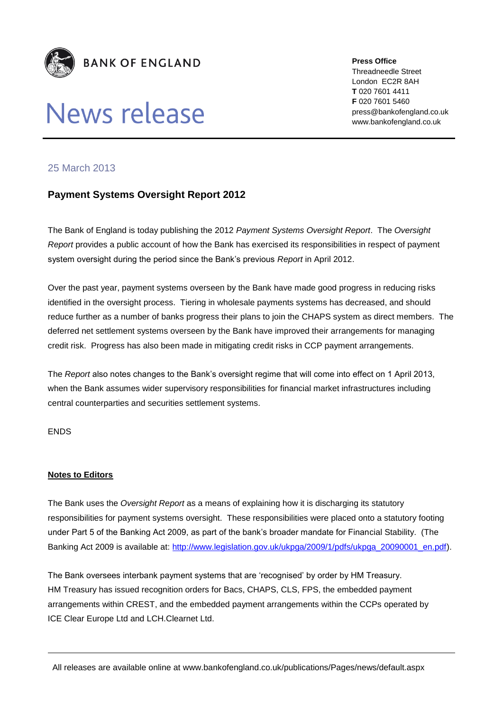

## News release

**Press Office** Threadneedle Street London EC2R 8AH **T** 020 7601 4411 **F** 020 7601 5460 press@bankofengland.co.uk www.bankofengland.co.uk

## 25 March 2013

## **Payment Systems Oversight Report 2012**

The Bank of England is today publishing the 2012 *Payment Systems Oversight Report*. The *Oversight Report* provides a public account of how the Bank has exercised its responsibilities in respect of payment system oversight during the period since the Bank's previous *Report* in April 2012.

Over the past year, payment systems overseen by the Bank have made good progress in reducing risks identified in the oversight process. Tiering in wholesale payments systems has decreased, and should reduce further as a number of banks progress their plans to join the CHAPS system as direct members. The deferred net settlement systems overseen by the Bank have improved their arrangements for managing credit risk. Progress has also been made in mitigating credit risks in CCP payment arrangements.

The *Report* also notes changes to the Bank's oversight regime that will come into effect on 1 April 2013, when the Bank assumes wider supervisory responsibilities for financial market infrastructures including central counterparties and securities settlement systems.

ENDS

## **Notes to Editors**

The Bank uses the *Oversight Report* as a means of explaining how it is discharging its statutory responsibilities for payment systems oversight. These responsibilities were placed onto a statutory footing under Part 5 of the Banking Act 2009, as part of the bank's broader mandate for Financial Stability. (The Banking Act 2009 is available at: [http://www.legislation.gov.uk/ukpga/2009/1/pdfs/ukpga\\_20090001\\_en.pdf\)](http://www.legislation.gov.uk/ukpga/2009/1/pdfs/ukpga_20090001_en.pdf).

The Bank oversees interbank payment systems that are 'recognised' by order by HM Treasury. HM Treasury has issued recognition orders for Bacs, CHAPS, CLS, FPS, the embedded payment arrangements within CREST, and the embedded payment arrangements within the CCPs operated by ICE Clear Europe Ltd and LCH.Clearnet Ltd.